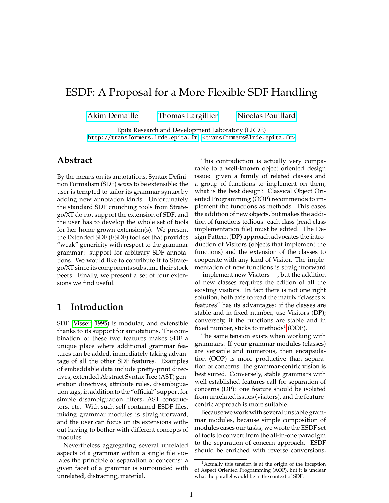# ESDF: A Proposal for a More Flexible SDF Handling

[Akim Demaille](mailto:akim@lrde.epita.fr) [Thomas Largillier](mailto:thomas.largillier@lrde.epita.fr) [Nicolas Pouillard](mailto:ertai@lrde.epita.fr)

Epita Research and Development Laboratory (LRDE) <http://transformers.lrde.epita.fr> [<transformers@lrde.epita.fr>](mailto:transformers@lrde.epita.fr)

### **Abstract**

By the means on its annotations, Syntax Definition Formalism (SDF)*seems*to be extensible: the user is tempted to tailor its grammar syntax by adding new annotation kinds. Unfortunately the standard SDF crunching tools from Stratego/XT do not support the extension of SDF, and the user has to develop the whole set of tools for her home grown extension(s). We present the Extended SDF (ESDF) tool set that provides "weak" genericity with respect to the grammar grammar: support for arbitrary SDF annotations. We would like to contribute it to Stratego/XT since its components subsume their stock peers. Finally, we present a set of four extensions we find useful.

## **1 Introduction**

SDF [\(Visser, 1995\)](#page-3-0) is modular, and extensible thanks to its support for annotations. The combination of these two features makes SDF a unique place where additional grammar features can be added, immediately taking advantage of all the other SDF features. Examples of embeddable data include pretty-print directives, extended Abstract Syntax Tree (AST) generation directives, attribute rules, disambiguation tags, in addition to the "official" support for simple disambiguation filters, AST constructors, etc. With such self-contained ESDF files, mixing grammar modules is straightforward, and the user can focus on its extensions without having to bother with different concepts of modules.

Nevertheless aggregating several unrelated aspects of a grammar within a single file violates the principle of separation of concerns: a given facet of a grammar is surrounded with unrelated, distracting, material.

This contradiction is actually very comparable to a well-known object oriented design issue: given a family of related classes and a group of functions to implement on them, what is the best design? Classical Object Oriented Programming (OOP) recommends to implement the functions as methods. This eases the addition of new objects, but makes the addition of functions tedious: each class (read class implementation file) must be edited. The Design Pattern (DP) approach advocates the introduction of Visitors (objects that implement the functions) and the extension of the classes to cooperate with any kind of Visitor. The implementation of new functions is straightforward — implement new Visitors —, but the addition of new classes requires the edition of all the existing visitors. In fact there is not one right solution, both axis to read the matrix "classes  $\times$ features" has its advantages: if the classes are stable and in fixed number, use Visitors (DP); conversely, if the functions are stable and in fixed number, sticks to methods $^1$  $^1$  (OOP).

The same tension exists when working with grammars. If your grammar modules (classes) are versatile and numerous, then encapsulation (OOP) is more productive than separation of concerns: the grammar-centric vision is best suited. Conversely, stable grammars with well established features call for separation of concerns (DP): one feature should be isolated from unrelated issues (visitors), and the featurecentric approach is more suitable.

Because we work with several unstable grammar modules, because simple composition of modules eases our tasks, we wrote the ESDF set of tools to convert from the all-in-one paradigm to the separation-of-concern approach. ESDF should be enriched with reverse conversions,

<span id="page-0-0"></span><sup>&</sup>lt;sup>1</sup>Actually this tension is at the origin of the inception of Aspect Oriented Programming (AOP), but it is unclear what the parallel would be in the context of SDF.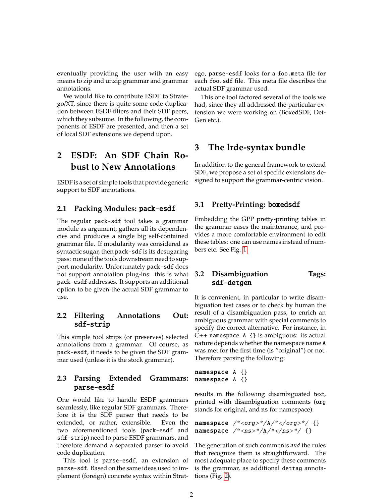eventually providing the user with an easy means to zip and unzip grammar and grammar annotations.

We would like to contribute ESDF to Stratego/XT, since there is quite some code duplication between ESDF filters and their SDF peers, which they subsume. In the following, the components of ESDF are presented, and then a set of local SDF extensions we depend upon.

## **2 ESDF: An SDF Chain Robust to New Annotations**

ESDF is a set of simple tools that provide generic support to SDF annotations.

#### **2.1 Packing Modules:** pack-esdf

The regular pack-sdf tool takes a grammar module as argument, gathers all its dependencies and produces a single big self-contained grammar file. If modularity was considered as syntactic sugar, then pack-sdf is its desugaring pass: none of the tools downstream need to support modularity. Unfortunately pack-sdf does not support annotation plug-ins: this is what pack-esdf addresses. It supports an additional option to be given the actual SDF grammar to use.

#### **2.2 Filtering Annotations Out:** sdf-strip

This simple tool strips (or preserves) selected annotations from a grammar. Of course, as pack-esdf, it needs to be given the SDF grammar used (unless it is the stock grammar).

#### **2.3 Parsing Extended Grammars:** parse-esdf

One would like to handle ESDF grammars seamlessly, like regular SDF grammars. Therefore it is the SDF parser that needs to be extended, or rather, extensible. Even the two aforementioned tools (pack-esdf and sdf-strip) need to parse ESDF grammars, and therefore demand a separated parser to avoid code duplication.

This tool is parse-esdf, an extension of parse-sdf. Based on the same ideas used to implement (foreign) concrete syntax within Stratego, parse-esdf looks for a foo.meta file for each foo.sdf file. This meta file describes the actual SDF grammar used.

This one tool factored several of the tools we had, since they all addressed the particular extension we were working on (BoxedSDF, Det-Gen etc.).

## **3 The lrde-syntax bundle**

In addition to the general framework to extend SDF, we propose a set of specific extensions designed to support the grammar-centric vision.

#### **3.1 Pretty-Printing:** boxedsdf

Embedding the GPP pretty-printing tables in the grammar eases the maintenance, and provides a more comfortable environment to edit these tables: one can use names instead of numbers etc. See Fig. [1.](#page-2-0)

#### **3.2 Disambiguation Tags:** sdf-detgen

It is convenient, in particular to write disambiguation test cases or to check by human the result of a disambiguation pass, to enrich an ambiguous grammar with special comments to specify the correct alternative. For instance, in C++ namespace A {} is ambiguous: its actual nature depends whether the namespace name A was met for the first time (is "original") or not. Therefore parsing the following:

namespace A {} namespace A {}

results in the following disambiguated text, printed with disambiguation comments (org stands for original, and ns for namespace):

namespace /\*<org>\*/A/\*</org>\*/ {} namespace /\*<ns>\*/A/\*</ns>\*/ {}

The generation of such comments *and* the rules that recognize them is straightforward. The most adequate place to specify these comments is the grammar, as additional dettag annotations (Fig. [2\)](#page-2-1).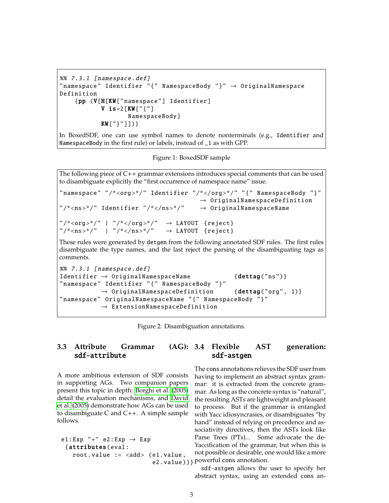```
%% 7.3.1 [ namespace .def]
" namespace " Identifier "{" NamespaceBody "}" → OriginalNamespace
Definition
    {pp (V[H[KW[" namespace "] Identifier ]
           V is=2[KW["\{"]
                   NamespaceBody ]
           KW["}"]])}
```
In BoxedSDF, one can use symbol names to denote nonterminals (e.g., Identifier and NamespaceBody in the first rule) or labels, instead of \_1 as with GPP.

<span id="page-2-0"></span>Figure 1: BoxedSDF sample

The following piece of  $C_{++}$  grammar extensions introduces special comments that can be used to disambiguate explicitly the "first occurrence of namespace name" issue.

```
"namespace" "/*<org>*/" Identifier "/*</org>*/" "{" NamespaceBody "}"
                                          \rightarrow OriginalNamespaceDefinition
\frac{m}{x} /*<ns>*/" Identifier "/*</ns>*/" \rightarrow OriginalNamespaceName
"/*<org>*/" | "/*</org>*/" \rightarrow LAYOUT {reject}
"/*<ns>*/" | "/*</ns>*/" \rightarrow LAYOUT {reject}
```
These rules were generated by detgen from the following annotated SDF rules. The first rules disambiguate the type names, and the last reject the parsing of the disambiguating tags as comments.

```
%% 7.3.1 [ namespace .def]
Identifier \rightarrow OriginalNamespaceName {dettag("ns")}
"namespace" Identifier "{" NamespaceBody "}"
           \rightarrow OriginalNamespaceDefinition {dettag("org", 1)}
" namespace " OriginalNamespaceName "{" NamespaceBody "}"
           \rightarrow ExtensionNamespaceDefinition
```
<span id="page-2-1"></span>Figure 2: Disambiguation annotations.

#### **3.3 Attribute Grammar** sdf-attribute **3.4 Flexible AST generation:** sdf-astgen

A more ambitious extension of SDF consists in supporting AGs. Two companion papers present this topic in depth: [Borghi et al.](#page-3-1) [\(2005\)](#page-3-1) detail the evaluation mechanisms, and [David](#page-3-2) [et al.](#page-3-2) [\(2005\)](#page-3-2) demonstrate how AGs can be used to disambiguate C and C++. A simple sample follows.

```
e1:Exp "+" e2:Exp \rightarrow Exp
 {attributes(eval:
   root.value := <add> (e1.value,
```
e2.value)) } powerful cons annotation. The cons annotations relieves the SDF user from having to implement an abstract syntax grammar: it is extracted from the concrete grammar. As long as the concrete syntax is "natural", the resulting ASTs are lightweight and pleasant to process. But if the grammar is entangled with Yacc idiosyncrasies, or disambiguates "by hand" instead of relying on precedence and associativity directives, then the ASTs look like Parse Trees (PTs)... Some advocate the de-Yaccification of the grammar, but when this is not possible or desirable, one would like a more

sdf-astgen allows the user to specify her abstract syntax, using an extended cons an-